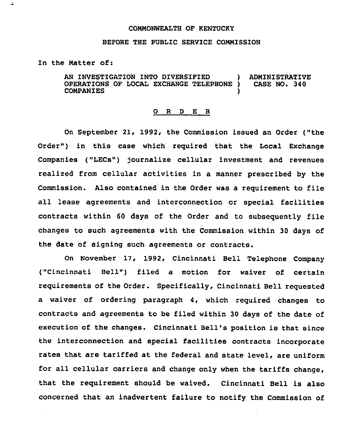## COMMONNEALTH OF KENTUCKY

## BEFORE THE PUBLIC SERVICE COMMISSION

In the Matter of:

 $\ddot{\bullet}$ 

AN INVESTIGATION INTO DIVERSIFIED ) ADMINISTRATIVE<br>OPERATIONS OF LOCAL EXCHANGE TELEPHONE ) CASE NO. 340 OPERATIONS OF LOCAL EXCHANGE TELEPHONE ) **COMPANIES** 

## 0 R <sup>D</sup> E R

On September 21, 1992, the Commission issued an Order ("the Order") in this case which required that the Local Exchange Companies ("LECs") journalize cellular investment and revenues realized from cellular activities in a manner prescribed by the Commission. Also contained in the Order was <sup>a</sup> requirement to file all lease agreements and interconnection or special facilities contracts within <sup>60</sup> days of the Order and to subsequently file changes to such agreements with the Commission within 30 days of the date of signing such agreements or contracts.

On November 17, 1992, Cincinnati Bell Telephone Company ("Cincinnati Bell") filed a motion for waiver of certain requirements of the Order. Specifically, Cincinnati Bell requested a waiver of ordering paragraph 4, which required changes to contracts and agreements to be filed within 30 days of the date of execution of the changes. Cincinnati Bell's position is that since the interconnection and special facilities contracts incorporate rates that are tariffed at the federal and state level, are uniform for all cellular carriers and change only when the tariffs change, that the requirement should be waived. Cincinnati Bell is also concerned that an inadvertent failure to notify the Commission of